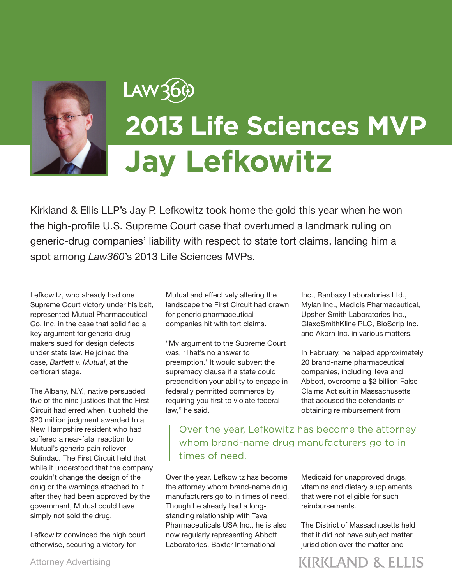

## LAW36¢ **2013 Life Sciences MVP Jay Lefkowitz**

Kirkland & Ellis LLP's Jay P. Lefkowitz took home the gold this year when he won the high-profile U.S. Supreme Court case that overturned a landmark ruling on generic-drug companies' liability with respect to state tort claims, landing him a spot among *Law360*'s 2013 Life Sciences MVPs.

Lefkowitz, who already had one Supreme Court victory under his belt, represented Mutual Pharmaceutical Co. Inc. in the case that solidified a key argument for generic-drug makers sued for design defects under state law. He joined the case, *Bartlett v. Mutual*, at the certiorari stage.

The Albany, N.Y., native persuaded five of the nine justices that the First Circuit had erred when it upheld the \$20 million judgment awarded to a New Hampshire resident who had suffered a near-fatal reaction to Mutual's generic pain reliever Sulindac. The First Circuit held that while it understood that the company couldn't change the design of the drug or the warnings attached to it after they had been approved by the government, Mutual could have simply not sold the drug.

Lefkowitz convinced the high court otherwise, securing a victory for

Mutual and effectively altering the landscape the First Circuit had drawn for generic pharmaceutical companies hit with tort claims.

"My argument to the Supreme Court was, 'That's no answer to preemption.' It would subvert the supremacy clause if a state could precondition your ability to engage in federally permitted commerce by requiring you first to violate federal law," he said.

Inc., Ranbaxy Laboratories Ltd., Mylan Inc., Medicis Pharmaceutical, Upsher-Smith Laboratories Inc., GlaxoSmithKline PLC, BioScrip Inc. and Akorn Inc. in various matters.

In February, he helped approximately 20 brand-name pharmaceutical companies, including Teva and Abbott, overcome a \$2 billion False Claims Act suit in Massachusetts that accused the defendants of obtaining reimbursement from

Over the year, Lefkowitz has become the attorney whom brand-name drug manufacturers go to in times of need.

Over the year, Lefkowitz has become the attorney whom brand-name drug manufacturers go to in times of need. Though he already had a longstanding relationship with Teva Pharmaceuticals USA Inc., he is also now regularly representing Abbott Laboratories, Baxter International

Medicaid for unapproved drugs, vitamins and dietary supplements that were not eligible for such reimbursements.

The District of Massachusetts held that it did not have subject matter jurisdiction over the matter and